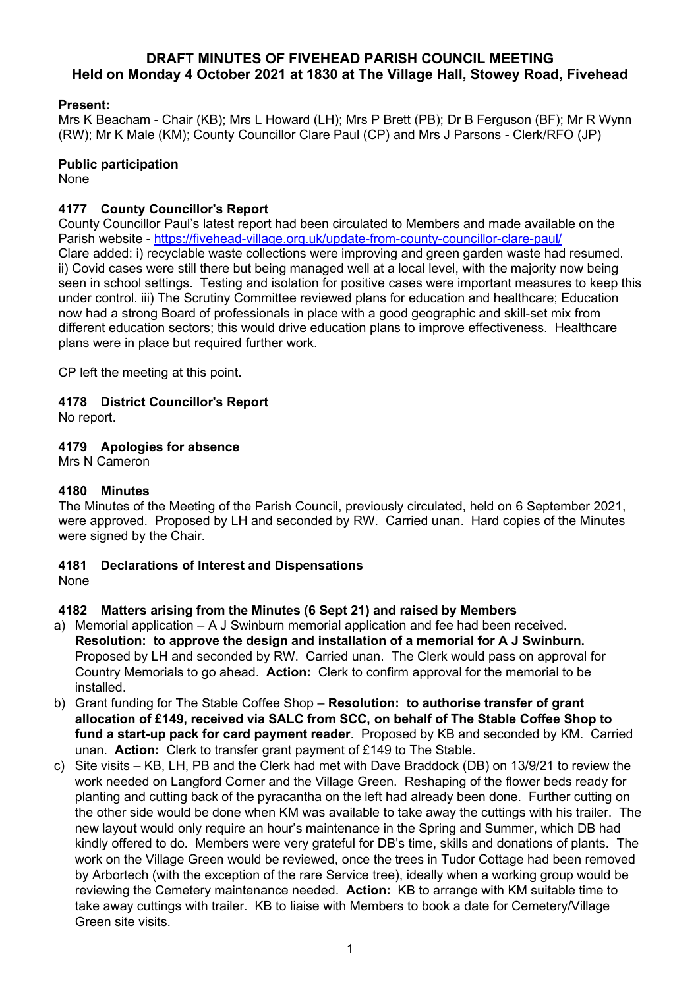## **DRAFT MINUTES OF FIVEHEAD PARISH COUNCIL MEETING Held on Monday 4 October 2021 at 1830 at The Village Hall, Stowey Road, Fivehead**

### **Present:**

Mrs K Beacham - Chair (KB); Mrs L Howard (LH); Mrs P Brett (PB); Dr B Ferguson (BF); Mr R Wynn (RW); Mr K Male (KM); County Councillor Clare Paul (CP) and Mrs J Parsons - Clerk/RFO (JP)

#### **Public participation**

None

## **4177 County Councillor's Report**

County Councillor Paul's latest report had been circulated to Members and made available on the Parish website - <https://fivehead-village.org.uk/update-from-county-councillor-clare-paul/> Clare added: i) recyclable waste collections were improving and green garden waste had resumed. ii) Covid cases were still there but being managed well at a local level, with the majority now being seen in school settings. Testing and isolation for positive cases were important measures to keep this under control. iii) The Scrutiny Committee reviewed plans for education and healthcare; Education now had a strong Board of professionals in place with a good geographic and skill-set mix from different education sectors; this would drive education plans to improve effectiveness. Healthcare plans were in place but required further work.

CP left the meeting at this point.

## **4178 District Councillor's Report**

No report.

## **4179 Apologies for absence**

Mrs N Cameron

## **4180 Minutes**

The Minutes of the Meeting of the Parish Council, previously circulated, held on 6 September 2021, were approved. Proposed by LH and seconded by RW. Carried unan. Hard copies of the Minutes were signed by the Chair.

# **4181 Declarations of Interest and Dispensations**

None

## **4182 Matters arising from the Minutes (6 Sept 21) and raised by Members**

- a) Memorial application A J Swinburn memorial application and fee had been received. **Resolution: to approve the design and installation of a memorial for A J Swinburn.** Proposed by LH and seconded by RW. Carried unan. The Clerk would pass on approval for Country Memorials to go ahead. **Action:** Clerk to confirm approval for the memorial to be installed.
- b) Grant funding for The Stable Coffee Shop **Resolution: to authorise transfer of grant allocation of £149, received via SALC from SCC, on behalf of The Stable Coffee Shop to fund a start-up pack for card payment reader**. Proposed by KB and seconded by KM. Carried unan. **Action:** Clerk to transfer grant payment of £149 to The Stable.
- c) Site visits KB, LH, PB and the Clerk had met with Dave Braddock (DB) on 13/9/21 to review the work needed on Langford Corner and the Village Green. Reshaping of the flower beds ready for planting and cutting back of the pyracantha on the left had already been done. Further cutting on the other side would be done when KM was available to take away the cuttings with his trailer. The new layout would only require an hour's maintenance in the Spring and Summer, which DB had kindly offered to do. Members were very grateful for DB's time, skills and donations of plants. The work on the Village Green would be reviewed, once the trees in Tudor Cottage had been removed by Arbortech (with the exception of the rare Service tree), ideally when a working group would be reviewing the Cemetery maintenance needed. **Action:** KB to arrange with KM suitable time to take away cuttings with trailer. KB to liaise with Members to book a date for Cemetery/Village Green site visits.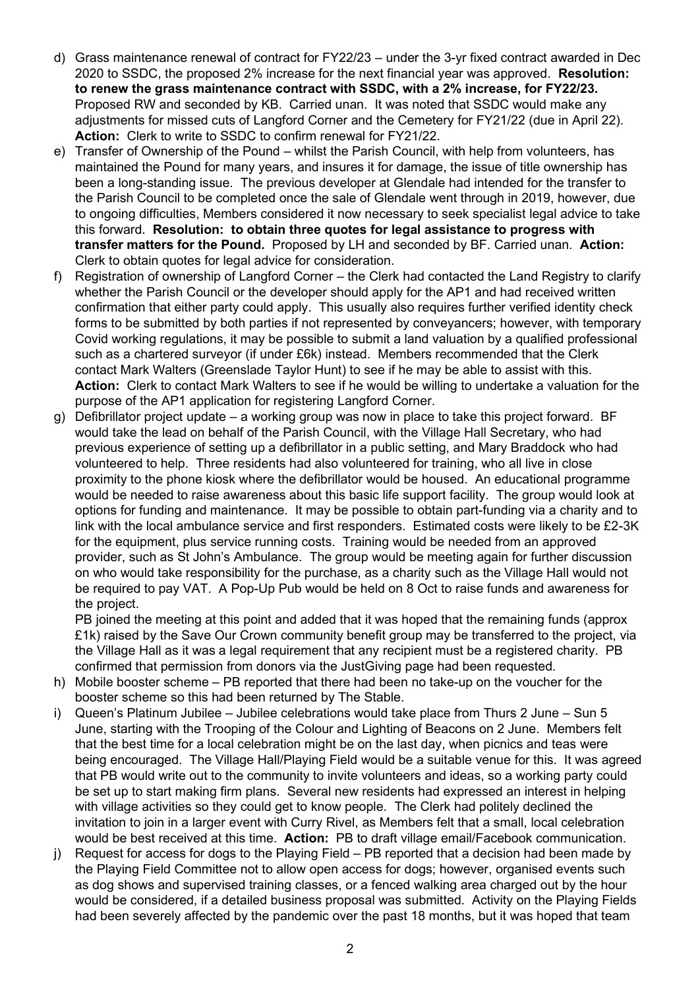- d) Grass maintenance renewal of contract for FY22/23 under the 3-yr fixed contract awarded in Dec 2020 to SSDC, the proposed 2% increase for the next financial year was approved. **Resolution: to renew the grass maintenance contract with SSDC, with a 2% increase, for FY22/23.** Proposed RW and seconded by KB. Carried unan. It was noted that SSDC would make any adjustments for missed cuts of Langford Corner and the Cemetery for FY21/22 (due in April 22). **Action:** Clerk to write to SSDC to confirm renewal for FY21/22.
- e) Transfer of Ownership of the Pound whilst the Parish Council, with help from volunteers, has maintained the Pound for many years, and insures it for damage, the issue of title ownership has been a long-standing issue. The previous developer at Glendale had intended for the transfer to the Parish Council to be completed once the sale of Glendale went through in 2019, however, due to ongoing difficulties, Members considered it now necessary to seek specialist legal advice to take this forward. **Resolution: to obtain three quotes for legal assistance to progress with transfer matters for the Pound.** Proposed by LH and seconded by BF. Carried unan. **Action:** Clerk to obtain quotes for legal advice for consideration.
- f) Registration of ownership of Langford Corner the Clerk had contacted the Land Registry to clarify whether the Parish Council or the developer should apply for the AP1 and had received written confirmation that either party could apply. This usually also requires further verified identity check forms to be submitted by both parties if not represented by conveyancers; however, with temporary Covid working regulations, it may be possible to submit a land valuation by a qualified professional such as a chartered surveyor (if under £6k) instead. Members recommended that the Clerk contact Mark Walters (Greenslade Taylor Hunt) to see if he may be able to assist with this. **Action:** Clerk to contact Mark Walters to see if he would be willing to undertake a valuation for the purpose of the AP1 application for registering Langford Corner.
- g) Defibrillator project update a working group was now in place to take this project forward. BF would take the lead on behalf of the Parish Council, with the Village Hall Secretary, who had previous experience of setting up a defibrillator in a public setting, and Mary Braddock who had volunteered to help. Three residents had also volunteered for training, who all live in close proximity to the phone kiosk where the defibrillator would be housed. An educational programme would be needed to raise awareness about this basic life support facility. The group would look at options for funding and maintenance. It may be possible to obtain part-funding via a charity and to link with the local ambulance service and first responders. Estimated costs were likely to be £2-3K for the equipment, plus service running costs. Training would be needed from an approved provider, such as St John's Ambulance. The group would be meeting again for further discussion on who would take responsibility for the purchase, as a charity such as the Village Hall would not be required to pay VAT. A Pop-Up Pub would be held on 8 Oct to raise funds and awareness for the project.

PB joined the meeting at this point and added that it was hoped that the remaining funds (approx £1k) raised by the Save Our Crown community benefit group may be transferred to the project, via the Village Hall as it was a legal requirement that any recipient must be a registered charity. PB confirmed that permission from donors via the JustGiving page had been requested.

- h) Mobile booster scheme PB reported that there had been no take-up on the voucher for the booster scheme so this had been returned by The Stable.
- i) Queen's Platinum Jubilee Jubilee celebrations would take place from Thurs 2 June Sun 5 June, starting with the Trooping of the Colour and Lighting of Beacons on 2 June. Members felt that the best time for a local celebration might be on the last day, when picnics and teas were being encouraged. The Village Hall/Playing Field would be a suitable venue for this. It was agreed that PB would write out to the community to invite volunteers and ideas, so a working party could be set up to start making firm plans. Several new residents had expressed an interest in helping with village activities so they could get to know people. The Clerk had politely declined the invitation to join in a larger event with Curry Rivel, as Members felt that a small, local celebration would be best received at this time. **Action:** PB to draft village email/Facebook communication.
- j) Request for access for dogs to the Playing Field PB reported that a decision had been made by the Playing Field Committee not to allow open access for dogs; however, organised events such as dog shows and supervised training classes, or a fenced walking area charged out by the hour would be considered, if a detailed business proposal was submitted. Activity on the Playing Fields had been severely affected by the pandemic over the past 18 months, but it was hoped that team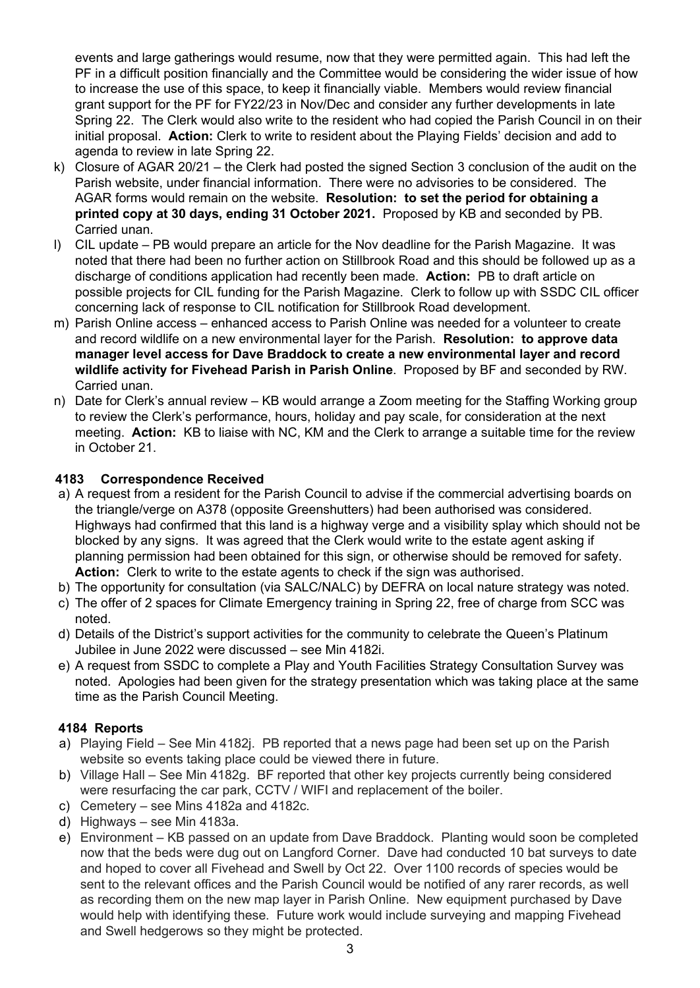events and large gatherings would resume, now that they were permitted again. This had left the PF in a difficult position financially and the Committee would be considering the wider issue of how to increase the use of this space, to keep it financially viable. Members would review financial grant support for the PF for FY22/23 in Nov/Dec and consider any further developments in late Spring 22. The Clerk would also write to the resident who had copied the Parish Council in on their initial proposal. **Action:** Clerk to write to resident about the Playing Fields' decision and add to agenda to review in late Spring 22.

- k) Closure of AGAR 20/21 the Clerk had posted the signed Section 3 conclusion of the audit on the Parish website, under financial information. There were no advisories to be considered. The AGAR forms would remain on the website. **Resolution: to set the period for obtaining a printed copy at 30 days, ending 31 October 2021.** Proposed by KB and seconded by PB. Carried unan.
- l) CIL update PB would prepare an article for the Nov deadline for the Parish Magazine. It was noted that there had been no further action on Stillbrook Road and this should be followed up as a discharge of conditions application had recently been made. **Action:** PB to draft article on possible projects for CIL funding for the Parish Magazine. Clerk to follow up with SSDC CIL officer concerning lack of response to CIL notification for Stillbrook Road development.
- m) Parish Online access enhanced access to Parish Online was needed for a volunteer to create and record wildlife on a new environmental layer for the Parish. **Resolution: to approve data manager level access for Dave Braddock to create a new environmental layer and record wildlife activity for Fivehead Parish in Parish Online**. Proposed by BF and seconded by RW. Carried unan.
- n) Date for Clerk's annual review KB would arrange a Zoom meeting for the Staffing Working group to review the Clerk's performance, hours, holiday and pay scale, for consideration at the next meeting. **Action:** KB to liaise with NC, KM and the Clerk to arrange a suitable time for the review in October 21.

## **4183 Correspondence Received**

- a) A request from a resident for the Parish Council to advise if the commercial advertising boards on the triangle/verge on A378 (opposite Greenshutters) had been authorised was considered. Highways had confirmed that this land is a highway verge and a visibility splay which should not be blocked by any signs. It was agreed that the Clerk would write to the estate agent asking if planning permission had been obtained for this sign, or otherwise should be removed for safety. **Action:** Clerk to write to the estate agents to check if the sign was authorised.
- b) The opportunity for consultation (via SALC/NALC) by DEFRA on local nature strategy was noted.
- c) The offer of 2 spaces for Climate Emergency training in Spring 22, free of charge from SCC was noted.
- d) Details of the District's support activities for the community to celebrate the Queen's Platinum Jubilee in June 2022 were discussed – see Min 4182i.
- e) A request from SSDC to complete a Play and Youth Facilities Strategy Consultation Survey was noted. Apologies had been given for the strategy presentation which was taking place at the same time as the Parish Council Meeting.

## **4184 Reports**

- a) Playing Field See Min 4182j. PB reported that a news page had been set up on the Parish website so events taking place could be viewed there in future.
- b) Village Hall See Min 4182g. BF reported that other key projects currently being considered were resurfacing the car park, CCTV / WIFI and replacement of the boiler.
- c) Cemetery see Mins 4182a and 4182c.
- d) Highways see Min 4183a.
- e) Environment KB passed on an update from Dave Braddock. Planting would soon be completed now that the beds were dug out on Langford Corner. Dave had conducted 10 bat surveys to date and hoped to cover all Fivehead and Swell by Oct 22. Over 1100 records of species would be sent to the relevant offices and the Parish Council would be notified of any rarer records, as well as recording them on the new map layer in Parish Online. New equipment purchased by Dave would help with identifying these. Future work would include surveying and mapping Fivehead and Swell hedgerows so they might be protected.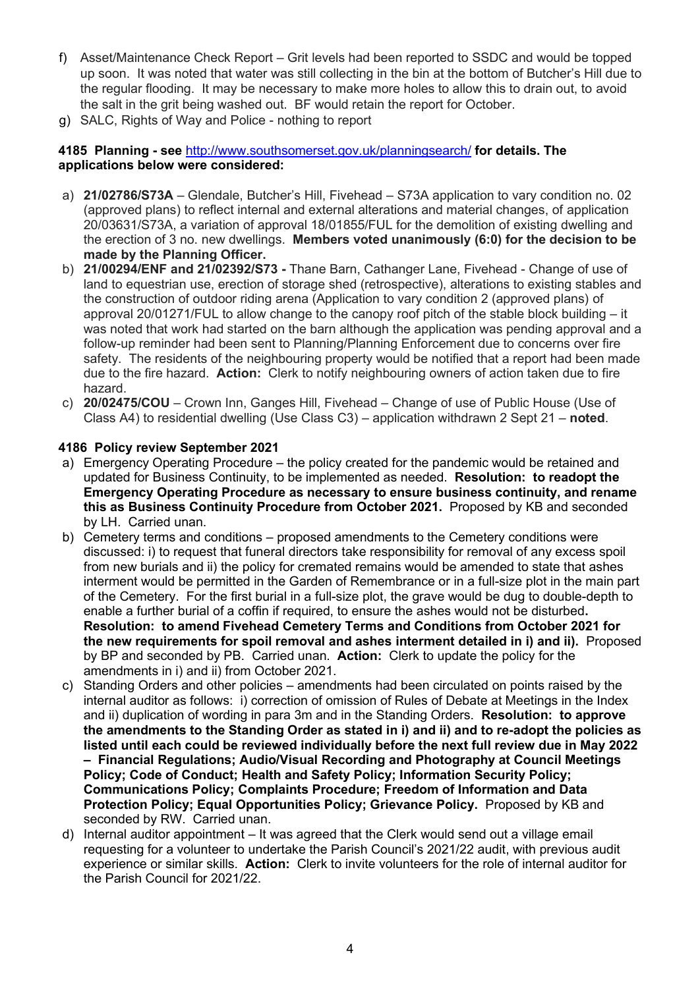- f) Asset/Maintenance Check Report Grit levels had been reported to SSDC and would be topped up soon. It was noted that water was still collecting in the bin at the bottom of Butcher's Hill due to the regular flooding. It may be necessary to make more holes to allow this to drain out, to avoid the salt in the grit being washed out. BF would retain the report for October.
- g) SALC, Rights of Way and Police nothing to report

#### **4185 Planning - see** <http://www.southsomerset.gov.uk/planningsearch/> **for details. The applications below were considered:**

- a) **21/02786/S73A**  Glendale, Butcher's Hill, Fivehead S73A application to vary condition no. 02 (approved plans) to reflect internal and external alterations and material changes, of application 20/03631/S73A, a variation of approval 18/01855/FUL for the demolition of existing dwelling and the erection of 3 no. new dwellings. **Members voted unanimously (6:0) for the decision to be made by the Planning Officer.**
- b) **21/00294/ENF and 21/02392/S73 -** Thane Barn, Cathanger Lane, Fivehead Change of use of land to equestrian use, erection of storage shed (retrospective), alterations to existing stables and the construction of outdoor riding arena (Application to vary condition 2 (approved plans) of approval 20/01271/FUL to allow change to the canopy roof pitch of the stable block building – it was noted that work had started on the barn although the application was pending approval and a follow-up reminder had been sent to Planning/Planning Enforcement due to concerns over fire safety. The residents of the neighbouring property would be notified that a report had been made due to the fire hazard. **Action:** Clerk to notify neighbouring owners of action taken due to fire hazard.
- c) **20/02475/COU** Crown Inn, Ganges Hill, Fivehead Change of use of Public House (Use of Class A4) to residential dwelling (Use Class C3) – application withdrawn 2 Sept 21 – **noted**.

#### **4186 Policy review September 2021**

- a) Emergency Operating Procedure the policy created for the pandemic would be retained and updated for Business Continuity, to be implemented as needed. **Resolution: to readopt the Emergency Operating Procedure as necessary to ensure business continuity, and rename this as Business Continuity Procedure from October 2021.** Proposed by KB and seconded by LH. Carried unan.
- b) Cemetery terms and conditions proposed amendments to the Cemetery conditions were discussed: i) to request that funeral directors take responsibility for removal of any excess spoil from new burials and ii) the policy for cremated remains would be amended to state that ashes interment would be permitted in the Garden of Remembrance or in a full-size plot in the main part of the Cemetery. For the first burial in a full-size plot, the grave would be dug to double-depth to enable a further burial of a coffin if required, to ensure the ashes would not be disturbed**. Resolution: to amend Fivehead Cemetery Terms and Conditions from October 2021 for the new requirements for spoil removal and ashes interment detailed in i) and ii).** Proposed by BP and seconded by PB. Carried unan. **Action:** Clerk to update the policy for the amendments in i) and ii) from October 2021.
- c) Standing Orders and other policies amendments had been circulated on points raised by the internal auditor as follows: i) correction of omission of Rules of Debate at Meetings in the Index and ii) duplication of wording in para 3m and in the Standing Orders. **Resolution: to approve the amendments to the Standing Order as stated in i) and ii) and to re-adopt the policies as listed until each could be reviewed individually before the next full review due in May 2022 – Financial Regulations; Audio/Visual Recording and Photography at Council Meetings Policy; Code of Conduct; Health and Safety Policy; Information Security Policy; Communications Policy; Complaints Procedure; Freedom of Information and Data Protection Policy; Equal Opportunities Policy; Grievance Policy.** Proposed by KB and seconded by RW. Carried unan.
- d) Internal auditor appointment It was agreed that the Clerk would send out a village email requesting for a volunteer to undertake the Parish Council's 2021/22 audit, with previous audit experience or similar skills. **Action:** Clerk to invite volunteers for the role of internal auditor for the Parish Council for 2021/22.